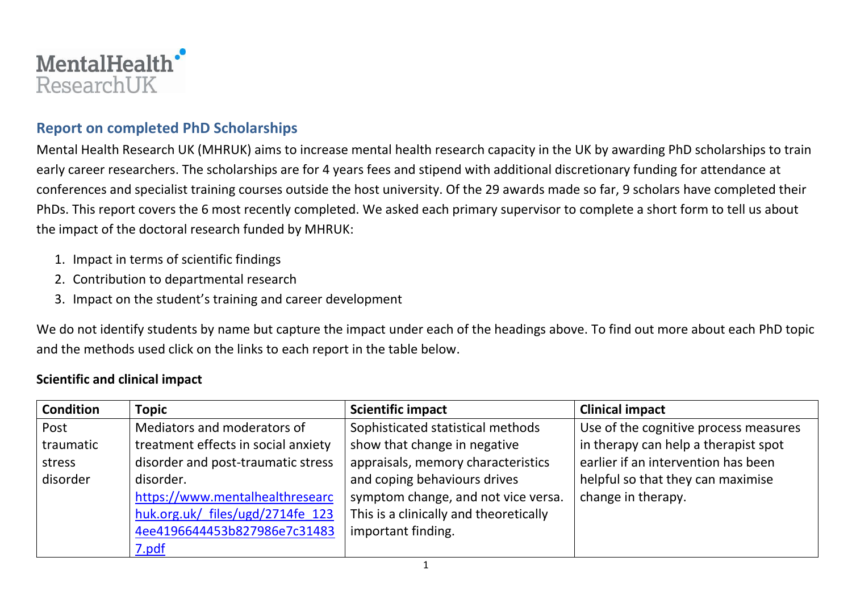

## **Report on completed PhD Scholarships**

Mental Health Research UK (MHRUK) aims to increase mental health research capacity in the UK by awarding PhD scholarships to train early career researchers. The scholarships are for 4 years fees and stipend with additional discretionary funding for attendance at conferences and specialist training courses outside the host university. Of the 29 awards made so far, 9 scholars have completed their PhDs. This report covers the 6 most recently completed. We asked each primary supervisor to complete a short form to tell us about the impact of the doctoral research funded by MHRUK:

- 1. Impact in terms of scientific findings
- 2. Contribution to departmental research
- 3. Impact on the student's training and career development

We do not identify students by name but capture the impact under each of the headings above. To find out more about each PhD topic and the methods used click on the links to each report in the table below.

#### **Scientific and clinical impact**

| <b>Condition</b> | <b>Topic</b>                        | <b>Scientific impact</b>               | <b>Clinical impact</b>                |
|------------------|-------------------------------------|----------------------------------------|---------------------------------------|
| Post             | Mediators and moderators of         | Sophisticated statistical methods      | Use of the cognitive process measures |
| traumatic        | treatment effects in social anxiety | show that change in negative           | in therapy can help a therapist spot  |
| stress           | disorder and post-traumatic stress  | appraisals, memory characteristics     | earlier if an intervention has been   |
| disorder         | disorder.                           | and coping behaviours drives           | helpful so that they can maximise     |
|                  | https://www.mentalhealthresearc     | symptom change, and not vice versa.    | change in therapy.                    |
|                  | huk.org.uk/ files/ugd/2714fe 123    | This is a clinically and theoretically |                                       |
|                  | 4ee4196644453b827986e7c31483        | important finding.                     |                                       |
|                  | 7.pdf                               |                                        |                                       |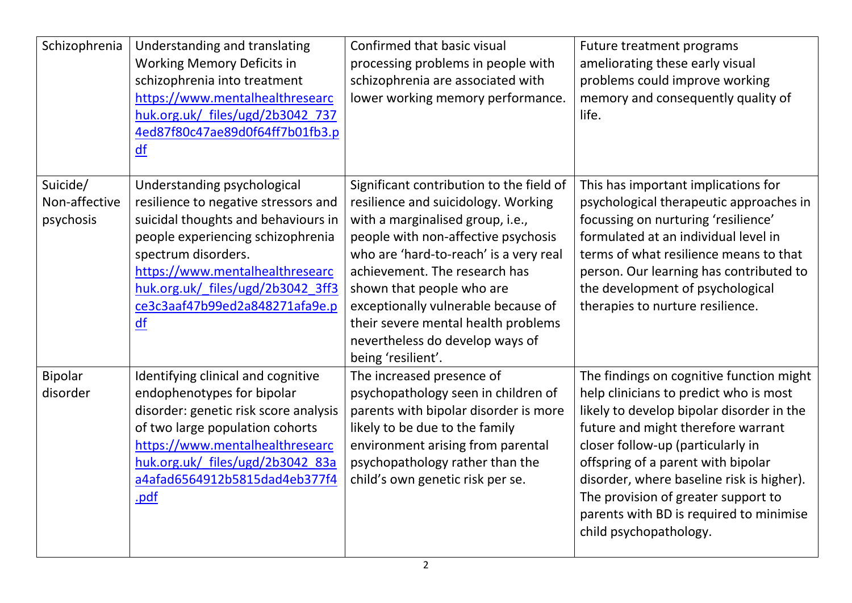| Schizophrenia             | Understanding and translating<br><b>Working Memory Deficits in</b><br>schizophrenia into treatment<br>https://www.mentalhealthresearc<br>huk.org.uk/ files/ugd/2b3042 737<br>4ed87f80c47ae89d0f64ff7b01fb3.p<br>df | Confirmed that basic visual<br>processing problems in people with<br>schizophrenia are associated with<br>lower working memory performance. | Future treatment programs<br>ameliorating these early visual<br>problems could improve working<br>memory and consequently quality of<br>life. |
|---------------------------|--------------------------------------------------------------------------------------------------------------------------------------------------------------------------------------------------------------------|---------------------------------------------------------------------------------------------------------------------------------------------|-----------------------------------------------------------------------------------------------------------------------------------------------|
| Suicide/<br>Non-affective | Understanding psychological                                                                                                                                                                                        | Significant contribution to the field of                                                                                                    | This has important implications for                                                                                                           |
| psychosis                 | resilience to negative stressors and<br>suicidal thoughts and behaviours in                                                                                                                                        | resilience and suicidology. Working<br>with a marginalised group, i.e.,                                                                     | psychological therapeutic approaches in<br>focussing on nurturing 'resilience'                                                                |
|                           | people experiencing schizophrenia                                                                                                                                                                                  | people with non-affective psychosis                                                                                                         | formulated at an individual level in                                                                                                          |
|                           | spectrum disorders.                                                                                                                                                                                                | who are 'hard-to-reach' is a very real                                                                                                      | terms of what resilience means to that                                                                                                        |
|                           | https://www.mentalhealthresearc                                                                                                                                                                                    | achievement. The research has                                                                                                               | person. Our learning has contributed to                                                                                                       |
|                           | huk.org.uk/ files/ugd/2b3042 3ff3                                                                                                                                                                                  | shown that people who are                                                                                                                   | the development of psychological                                                                                                              |
|                           | ce3c3aaf47b99ed2a848271afa9e.p                                                                                                                                                                                     | exceptionally vulnerable because of                                                                                                         | therapies to nurture resilience.                                                                                                              |
|                           | df                                                                                                                                                                                                                 | their severe mental health problems                                                                                                         |                                                                                                                                               |
|                           |                                                                                                                                                                                                                    | nevertheless do develop ways of                                                                                                             |                                                                                                                                               |
| <b>Bipolar</b>            | Identifying clinical and cognitive                                                                                                                                                                                 | being 'resilient'.<br>The increased presence of                                                                                             | The findings on cognitive function might                                                                                                      |
| disorder                  | endophenotypes for bipolar                                                                                                                                                                                         | psychopathology seen in children of                                                                                                         | help clinicians to predict who is most                                                                                                        |
|                           | disorder: genetic risk score analysis                                                                                                                                                                              | parents with bipolar disorder is more                                                                                                       | likely to develop bipolar disorder in the                                                                                                     |
|                           | of two large population cohorts                                                                                                                                                                                    | likely to be due to the family                                                                                                              | future and might therefore warrant                                                                                                            |
|                           | https://www.mentalhealthresearc                                                                                                                                                                                    | environment arising from parental                                                                                                           | closer follow-up (particularly in                                                                                                             |
|                           | huk.org.uk/ files/ugd/2b3042 83a                                                                                                                                                                                   | psychopathology rather than the                                                                                                             | offspring of a parent with bipolar                                                                                                            |
|                           | a4afad6564912b5815dad4eb377f4                                                                                                                                                                                      | child's own genetic risk per se.                                                                                                            | disorder, where baseline risk is higher).                                                                                                     |
|                           | .pdf                                                                                                                                                                                                               |                                                                                                                                             | The provision of greater support to                                                                                                           |
|                           |                                                                                                                                                                                                                    |                                                                                                                                             | parents with BD is required to minimise                                                                                                       |
|                           |                                                                                                                                                                                                                    |                                                                                                                                             | child psychopathology.                                                                                                                        |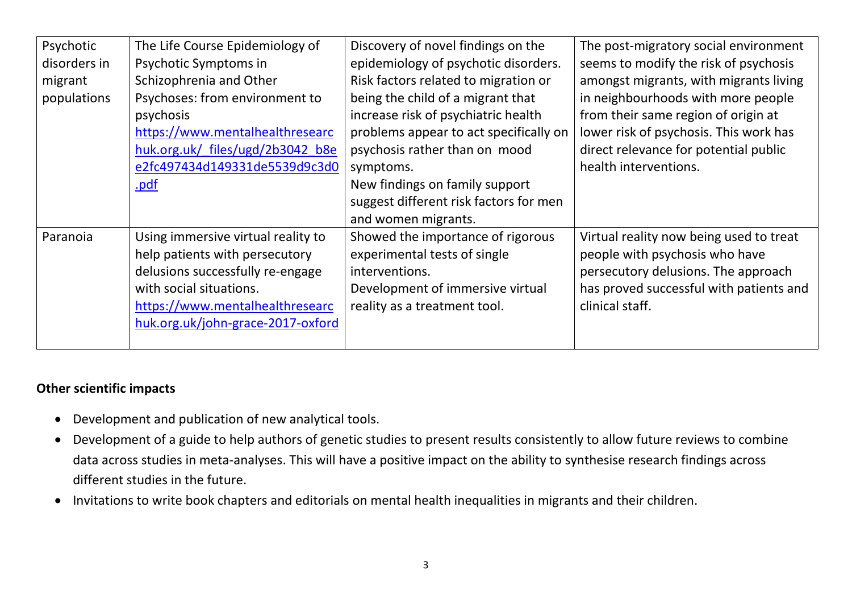| Psychotic    | The Life Course Epidemiology of    | Discovery of novel findings on the     | The post-migratory social environment   |
|--------------|------------------------------------|----------------------------------------|-----------------------------------------|
| disorders in | Psychotic Symptoms in              | epidemiology of psychotic disorders.   | seems to modify the risk of psychosis   |
| migrant      | Schizophrenia and Other            | Risk factors related to migration or   | amongst migrants, with migrants living  |
| populations  | Psychoses: from environment to     | being the child of a migrant that      | in neighbourhoods with more people      |
|              | psychosis                          | increase risk of psychiatric health    | from their same region of origin at     |
|              | https://www.mentalhealthresearc    | problems appear to act specifically on | lower risk of psychosis. This work has  |
|              | huk.org.uk/ files/ugd/2b3042 b8e   | psychosis rather than on mood          | direct relevance for potential public   |
|              | e2fc497434d149331de5539d9c3d0      | symptoms.                              | health interventions.                   |
|              | .pdf                               | New findings on family support         |                                         |
|              |                                    | suggest different risk factors for men |                                         |
|              |                                    | and women migrants.                    |                                         |
| Paranoia     | Using immersive virtual reality to | Showed the importance of rigorous      | Virtual reality now being used to treat |
|              | help patients with persecutory     | experimental tests of single           | people with psychosis who have          |
|              | delusions successfully re-engage   | interventions.                         | persecutory delusions. The approach     |
|              | with social situations.            | Development of immersive virtual       | has proved successful with patients and |
|              | https://www.mentalhealthresearc    | reality as a treatment tool.           | clinical staff.                         |
|              | huk.org.uk/john-grace-2017-oxford  |                                        |                                         |
|              |                                    |                                        |                                         |

#### **Other scientific impacts**

- Development and publication of new analytical tools.
- Development of a guide to help authors of genetic studies to present results consistently to allow future reviews to combine data across studies in meta-analyses. This will have a positive impact on the ability to synthesise research findings across different studies in the future.
- Invitations to write book chapters and editorials on mental health inequalities in migrants and their children.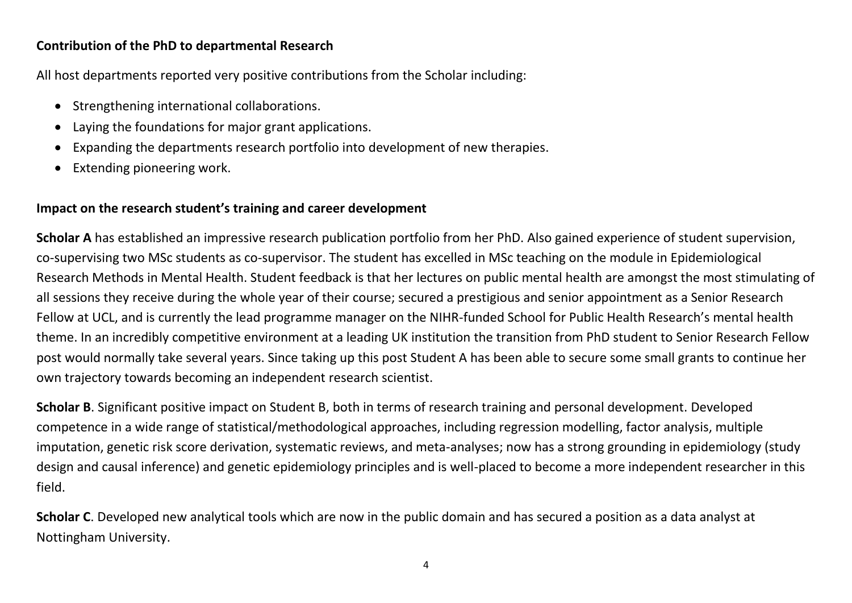#### **Contribution of the PhD to departmental Research**

All host departments reported very positive contributions from the Scholar including:

- Strengthening international collaborations.
- Laying the foundations for major grant applications.
- Expanding the departments research portfolio into development of new therapies.
- Extending pioneering work.

### **Impact on the research student's training and career development**

**Scholar A** has established an impressive research publication portfolio from her PhD. Also gained experience of student supervision, co-supervising two MSc students as co-supervisor. The student has excelled in MSc teaching on the module in Epidemiological Research Methods in Mental Health. Student feedback is that her lectures on public mental health are amongst the most stimulating of all sessions they receive during the whole year of their course; secured a prestigious and senior appointment as a Senior Research Fellow at UCL, and is currently the lead programme manager on the NIHR-funded School for Public Health Research's mental health theme. In an incredibly competitive environment at a leading UK institution the transition from PhD student to Senior Research Fellow post would normally take several years. Since taking up this post Student A has been able to secure some small grants to continue her own trajectory towards becoming an independent research scientist.

**Scholar B**. Significant positive impact on Student B, both in terms of research training and personal development. Developed competence in a wide range of statistical/methodological approaches, including regression modelling, factor analysis, multiple imputation, genetic risk score derivation, systematic reviews, and meta-analyses; now has a strong grounding in epidemiology (study design and causal inference) and genetic epidemiology principles and is well-placed to become a more independent researcher in this field.

**Scholar C**. Developed new analytical tools which are now in the public domain and has secured a position as a data analyst at Nottingham University.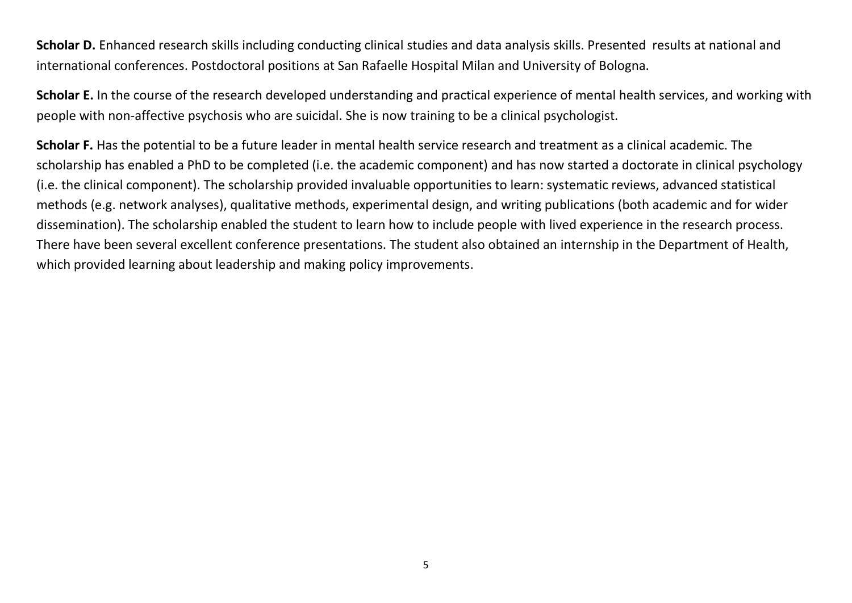Scholar D. Enhanced research skills including conducting clinical studies and data analysis skills. Presented results at national and international conferences. Postdoctoral positions at San Rafaelle Hospital Milan and University of Bologna.

**Scholar E.** In the course of the research developed understanding and practical experience of mental health services, and working with people with non-affective psychosis who are suicidal. She is now training to be a clinical psychologist.

**Scholar F.** Has the potential to be a future leader in mental health service research and treatment as a clinical academic. The scholarship has enabled a PhD to be completed (i.e. the academic component) and has now started a doctorate in clinical psychology (i.e. the clinical component). The scholarship provided invaluable opportunities to learn: systematic reviews, advanced statistical methods (e.g. network analyses), qualitative methods, experimental design, and writing publications (both academic and for wider dissemination). The scholarship enabled the student to learn how to include people with lived experience in the research process. There have been several excellent conference presentations. The student also obtained an internship in the Department of Health, which provided learning about leadership and making policy improvements.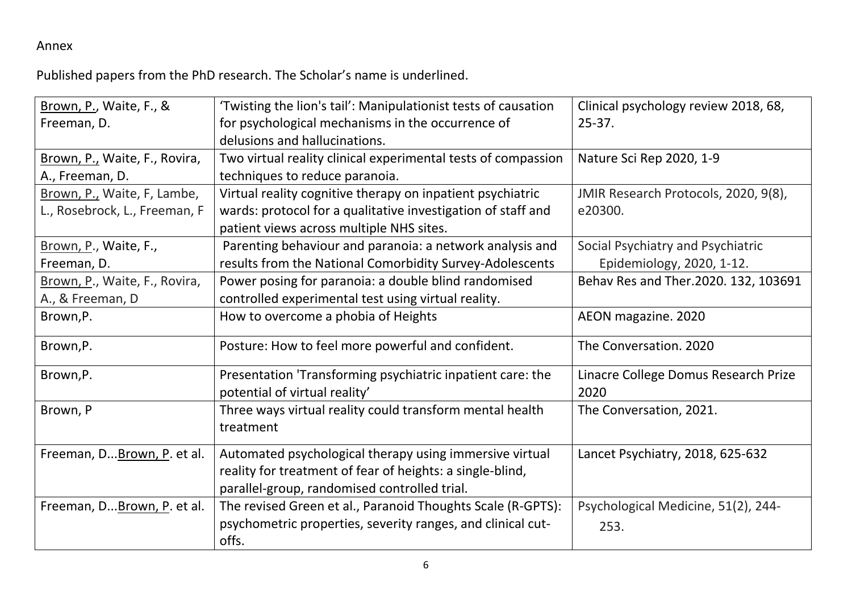# Annex

Published papers from the PhD research. The Scholar's name is underlined.

| Brown, P., Waite, F., &       | 'Twisting the lion's tail': Manipulationist tests of causation | Clinical psychology review 2018, 68, |
|-------------------------------|----------------------------------------------------------------|--------------------------------------|
| Freeman, D.                   | for psychological mechanisms in the occurrence of              | $25 - 37.$                           |
|                               | delusions and hallucinations.                                  |                                      |
| Brown, P., Waite, F., Rovira, | Two virtual reality clinical experimental tests of compassion  | Nature Sci Rep 2020, 1-9             |
| A., Freeman, D.               | techniques to reduce paranoia.                                 |                                      |
| Brown, P., Waite, F, Lambe,   | Virtual reality cognitive therapy on inpatient psychiatric     | JMIR Research Protocols, 2020, 9(8), |
| L., Rosebrock, L., Freeman, F | wards: protocol for a qualitative investigation of staff and   | e20300.                              |
|                               | patient views across multiple NHS sites.                       |                                      |
| Brown, P., Waite, F.,         | Parenting behaviour and paranoia: a network analysis and       | Social Psychiatry and Psychiatric    |
| Freeman, D.                   | results from the National Comorbidity Survey-Adolescents       | Epidemiology, 2020, 1-12.            |
| Brown, P., Waite, F., Rovira, | Power posing for paranoia: a double blind randomised           | Behav Res and Ther.2020. 132, 103691 |
| A., & Freeman, D              | controlled experimental test using virtual reality.            |                                      |
| Brown, P.                     | How to overcome a phobia of Heights                            | AEON magazine. 2020                  |
| Brown, P.                     | Posture: How to feel more powerful and confident.              | The Conversation. 2020               |
| Brown, P.                     | Presentation 'Transforming psychiatric inpatient care: the     | Linacre College Domus Research Prize |
|                               | potential of virtual reality'                                  | 2020                                 |
| Brown, P                      | Three ways virtual reality could transform mental health       | The Conversation, 2021.              |
|                               | treatment                                                      |                                      |
| Freeman, D Brown, P. et al.   | Automated psychological therapy using immersive virtual        | Lancet Psychiatry, 2018, 625-632     |
|                               | reality for treatment of fear of heights: a single-blind,      |                                      |
|                               | parallel-group, randomised controlled trial.                   |                                      |
| Freeman, D Brown, P. et al.   | The revised Green et al., Paranoid Thoughts Scale (R-GPTS):    | Psychological Medicine, 51(2), 244-  |
|                               | psychometric properties, severity ranges, and clinical cut-    | 253.                                 |
|                               | offs.                                                          |                                      |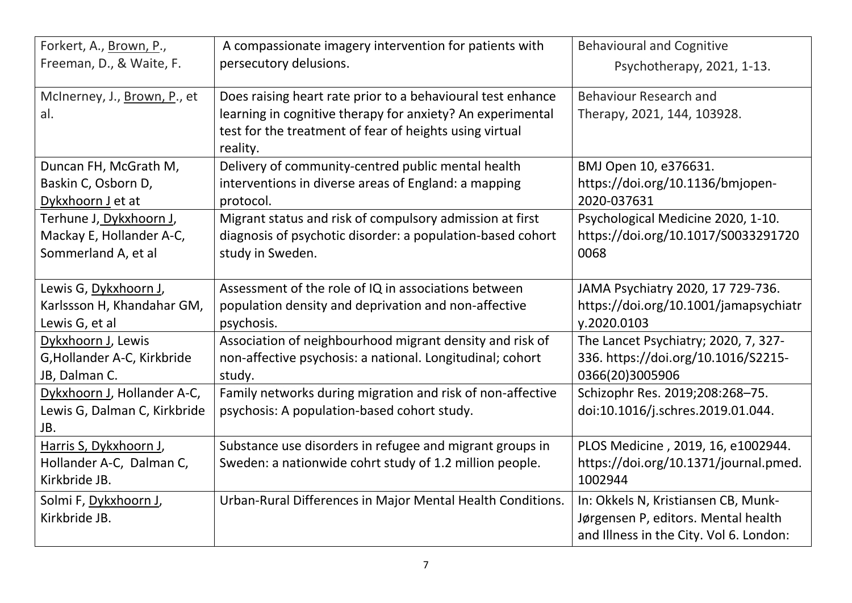| Forkert, A., Brown, P.,             | A compassionate imagery intervention for patients with                                                                | <b>Behavioural and Cognitive</b>        |
|-------------------------------------|-----------------------------------------------------------------------------------------------------------------------|-----------------------------------------|
| Freeman, D., & Waite, F.            | persecutory delusions.                                                                                                | Psychotherapy, 2021, 1-13.              |
| McInerney, J., Brown, P., et        | Does raising heart rate prior to a behavioural test enhance                                                           | <b>Behaviour Research and</b>           |
| al.                                 | learning in cognitive therapy for anxiety? An experimental<br>test for the treatment of fear of heights using virtual | Therapy, 2021, 144, 103928.             |
|                                     | reality.                                                                                                              |                                         |
| Duncan FH, McGrath M,               | Delivery of community-centred public mental health                                                                    | BMJ Open 10, e376631.                   |
| Baskin C, Osborn D,                 | interventions in diverse areas of England: a mapping                                                                  | https://doi.org/10.1136/bmjopen-        |
| Dykxhoorn J et at                   | protocol.                                                                                                             | 2020-037631                             |
| Terhune J <u>, Dykxhoorn J</u> ,    | Migrant status and risk of compulsory admission at first                                                              | Psychological Medicine 2020, 1-10.      |
| Mackay E, Hollander A-C,            | diagnosis of psychotic disorder: a population-based cohort                                                            | https://doi.org/10.1017/S0033291720     |
| Sommerland A, et al                 | study in Sweden.                                                                                                      | 0068                                    |
| Lewis G, Dykxhoorn J,               | Assessment of the role of IQ in associations between                                                                  | JAMA Psychiatry 2020, 17 729-736.       |
| Karlssson H, Khandahar GM,          | population density and deprivation and non-affective                                                                  | https://doi.org/10.1001/jamapsychiatr   |
| Lewis G, et al                      | psychosis.                                                                                                            | y.2020.0103                             |
| Dykxhoorn J, Lewis                  | Association of neighbourhood migrant density and risk of                                                              | The Lancet Psychiatry; 2020, 7, 327-    |
| G, Hollander A-C, Kirkbride         | non-affective psychosis: a national. Longitudinal; cohort                                                             | 336. https://doi.org/10.1016/S2215-     |
| JB, Dalman C.                       | study.                                                                                                                | 0366(20)3005906                         |
| Dykxhoorn J, Hollander A-C,         | Family networks during migration and risk of non-affective                                                            | Schizophr Res. 2019;208:268-75.         |
| Lewis G, Dalman C, Kirkbride<br>JB. | psychosis: A population-based cohort study.                                                                           | doi:10.1016/j.schres.2019.01.044.       |
| Harris S, Dykxhoorn J,              | Substance use disorders in refugee and migrant groups in                                                              | PLOS Medicine, 2019, 16, e1002944.      |
| Hollander A-C, Dalman C,            | Sweden: a nationwide cohrt study of 1.2 million people.                                                               | https://doi.org/10.1371/journal.pmed.   |
| Kirkbride JB.                       |                                                                                                                       | 1002944                                 |
| Solmi F, Dykxhoorn J,               | Urban-Rural Differences in Major Mental Health Conditions.                                                            | In: Okkels N, Kristiansen CB, Munk-     |
| Kirkbride JB.                       |                                                                                                                       | Jørgensen P, editors. Mental health     |
|                                     |                                                                                                                       | and Illness in the City. Vol 6. London: |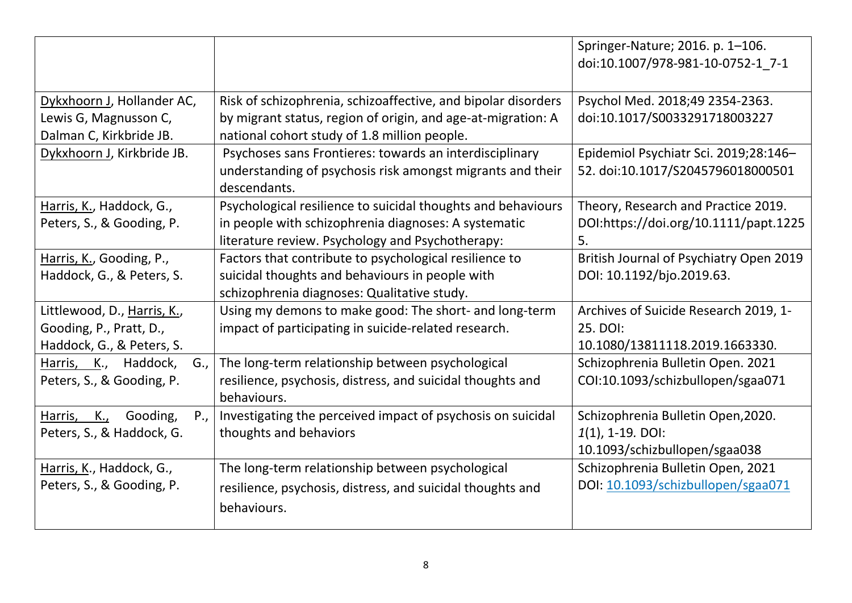|                                   |                                                               | Springer-Nature; 2016. p. 1-106.<br>doi:10.1007/978-981-10-0752-1 7-1 |
|-----------------------------------|---------------------------------------------------------------|-----------------------------------------------------------------------|
| Dykxhoorn J, Hollander AC,        | Risk of schizophrenia, schizoaffective, and bipolar disorders | Psychol Med. 2018;49 2354-2363.                                       |
| Lewis G, Magnusson C,             | by migrant status, region of origin, and age-at-migration: A  | doi:10.1017/S0033291718003227                                         |
| Dalman C, Kirkbride JB.           | national cohort study of 1.8 million people.                  |                                                                       |
| Dykxhoorn J, Kirkbride JB.        | Psychoses sans Frontieres: towards an interdisciplinary       | Epidemiol Psychiatr Sci. 2019;28:146-                                 |
|                                   | understanding of psychosis risk amongst migrants and their    | 52. doi:10.1017/S2045796018000501                                     |
|                                   | descendants.                                                  |                                                                       |
| Harris, K., Haddock, G.,          | Psychological resilience to suicidal thoughts and behaviours  | Theory, Research and Practice 2019.                                   |
| Peters, S., & Gooding, P.         | in people with schizophrenia diagnoses: A systematic          | DOI:https://doi.org/10.1111/papt.1225                                 |
|                                   | literature review. Psychology and Psychotherapy:              | 5.                                                                    |
| Harris, K., Gooding, P.,          | Factors that contribute to psychological resilience to        | British Journal of Psychiatry Open 2019                               |
| Haddock, G., & Peters, S.         | suicidal thoughts and behaviours in people with               | DOI: 10.1192/bjo.2019.63.                                             |
|                                   | schizophrenia diagnoses: Qualitative study.                   |                                                                       |
| Littlewood, D., Harris, K.,       | Using my demons to make good: The short- and long-term        | Archives of Suicide Research 2019, 1-                                 |
| Gooding, P., Pratt, D.,           | impact of participating in suicide-related research.          | 25. DOI:                                                              |
| Haddock, G., & Peters, S.         |                                                               | 10.1080/13811118.2019.1663330.                                        |
| Harris, K., Haddock,<br>G.,       | The long-term relationship between psychological              | Schizophrenia Bulletin Open. 2021                                     |
| Peters, S., & Gooding, P.         | resilience, psychosis, distress, and suicidal thoughts and    | COI:10.1093/schizbullopen/sgaa071                                     |
|                                   | behaviours.                                                   |                                                                       |
| P.,<br>K.,<br>Gooding,<br>Harris, | Investigating the perceived impact of psychosis on suicidal   | Schizophrenia Bulletin Open, 2020.                                    |
| Peters, S., & Haddock, G.         | thoughts and behaviors                                        | $1(1)$ , 1-19. DOI:                                                   |
|                                   |                                                               | 10.1093/schizbullopen/sgaa038                                         |
| Harris, K., Haddock, G.,          | The long-term relationship between psychological              | Schizophrenia Bulletin Open, 2021                                     |
| Peters, S., & Gooding, P.         | resilience, psychosis, distress, and suicidal thoughts and    | DOI: 10.1093/schizbullopen/sgaa071                                    |
|                                   | behaviours.                                                   |                                                                       |
|                                   |                                                               |                                                                       |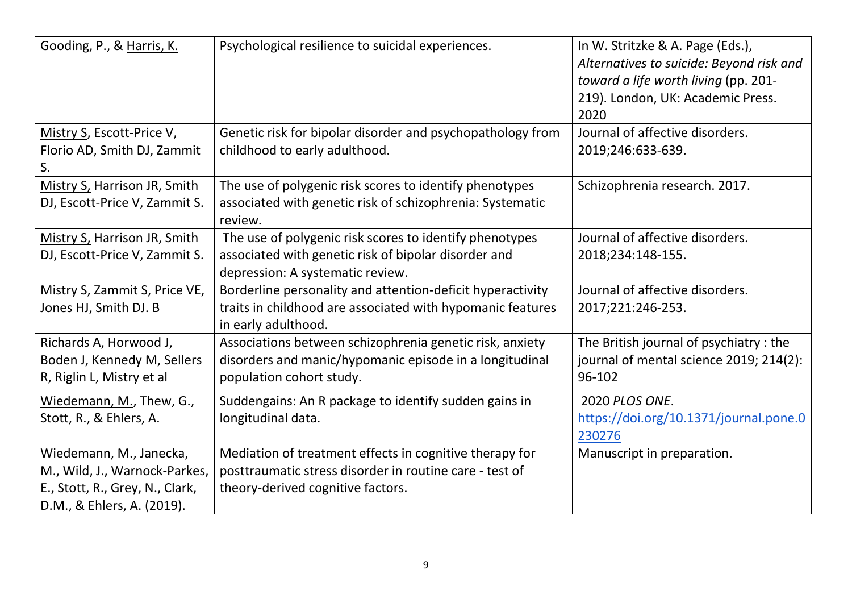| Gooding, P., & Harris, K.                                                                                                 | Psychological resilience to suicidal experiences.                                                                                                       | In W. Stritzke & A. Page (Eds.),<br>Alternatives to suicide: Beyond risk and<br>toward a life worth living (pp. 201-<br>219). London, UK: Academic Press.<br>2020 |
|---------------------------------------------------------------------------------------------------------------------------|---------------------------------------------------------------------------------------------------------------------------------------------------------|-------------------------------------------------------------------------------------------------------------------------------------------------------------------|
| Mistry S, Escott-Price V,<br>Florio AD, Smith DJ, Zammit<br>S.                                                            | Genetic risk for bipolar disorder and psychopathology from<br>childhood to early adulthood.                                                             | Journal of affective disorders.<br>2019;246:633-639.                                                                                                              |
| Mistry S, Harrison JR, Smith<br>DJ, Escott-Price V, Zammit S.                                                             | The use of polygenic risk scores to identify phenotypes<br>associated with genetic risk of schizophrenia: Systematic<br>review.                         | Schizophrenia research. 2017.                                                                                                                                     |
| Mistry S, Harrison JR, Smith<br>DJ, Escott-Price V, Zammit S.                                                             | The use of polygenic risk scores to identify phenotypes<br>associated with genetic risk of bipolar disorder and<br>depression: A systematic review.     | Journal of affective disorders.<br>2018;234:148-155.                                                                                                              |
| Mistry S, Zammit S, Price VE,<br>Jones HJ, Smith DJ. B                                                                    | Borderline personality and attention-deficit hyperactivity<br>traits in childhood are associated with hypomanic features<br>in early adulthood.         | Journal of affective disorders.<br>2017;221:246-253.                                                                                                              |
| Richards A, Horwood J,<br>Boden J, Kennedy M, Sellers<br>R, Riglin L, Mistry et al                                        | Associations between schizophrenia genetic risk, anxiety<br>disorders and manic/hypomanic episode in a longitudinal<br>population cohort study.         | The British journal of psychiatry: the<br>journal of mental science 2019; 214(2):<br>96-102                                                                       |
| Wiedemann, M., Thew, G.,<br>Stott, R., & Ehlers, A.                                                                       | Suddengains: An R package to identify sudden gains in<br>longitudinal data.                                                                             | 2020 PLOS ONE.<br>https://doi.org/10.1371/journal.pone.0<br>230276                                                                                                |
| Wiedemann, M., Janecka,<br>M., Wild, J., Warnock-Parkes,<br>E., Stott, R., Grey, N., Clark,<br>D.M., & Ehlers, A. (2019). | Mediation of treatment effects in cognitive therapy for<br>posttraumatic stress disorder in routine care - test of<br>theory-derived cognitive factors. | Manuscript in preparation.                                                                                                                                        |